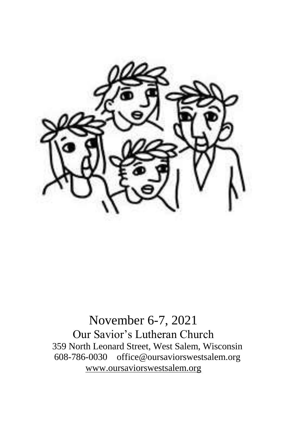

November 6-7, 2021 Our Savior's Lutheran Church 359 North Leonard Street, West Salem, Wisconsin 608-786-0030 office@oursaviorswestsalem.org [www.oursaviorswestsalem.org](http://www.oursaviorswestsalem.org/)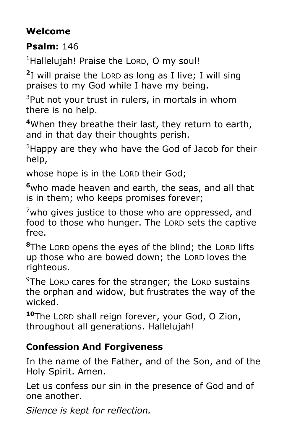# **Welcome**

**Psalm:** 146

<sup>1</sup>Hallelujah! Praise the LORD, O my soul!

**2** I will praise the LORD as long as I live; I will sing praises to my God while I have my being.

 $3$ Put not your trust in rulers, in mortals in whom there is no help.

**<sup>4</sup>**When they breathe their last, they return to earth, and in that day their thoughts perish.

<sup>5</sup>Happy are they who have the God of Jacob for their help,

whose hope is in the LORD their God;

**<sup>6</sup>**who made heaven and earth, the seas, and all that is in them; who keeps promises forever;

 $7$ who gives justice to those who are oppressed, and food to those who hunger. The LORD sets the captive free.

**<sup>8</sup>**The LORD opens the eyes of the blind; the LORD lifts up those who are bowed down; the LORD loves the righteous.

 $9$ The LORD cares for the stranger; the LORD sustains the orphan and widow, but frustrates the way of the wicked.

**<sup>10</sup>**The LORD shall reign forever, your God, O Zion, throughout all generations. Hallelujah!

# **Confession And Forgiveness**

In the name of the Father, and of the Son, and of the Holy Spirit. Amen.

Let us confess our sin in the presence of God and of one another.

*Silence is kept for reflection.*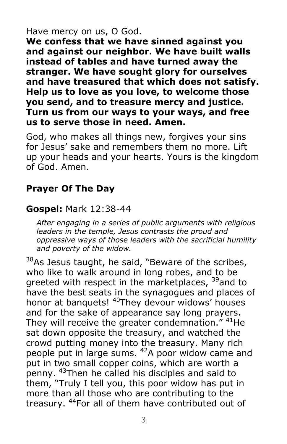#### Have mercy on us, O God.

**We confess that we have sinned against you and against our neighbor. We have built walls instead of tables and have turned away the stranger. We have sought glory for ourselves and have treasured that which does not satisfy. Help us to love as you love, to welcome those you send, and to treasure mercy and justice. Turn us from our ways to your ways, and free us to serve those in need. Amen.**

God, who makes all things new, forgives your sins for Jesus' sake and remembers them no more. Lift up your heads and your hearts. Yours is the kingdom of God. Amen.

## **Prayer Of The Day**

#### **Gospel:** Mark 12:38-44

*After engaging in a series of public arguments with religious leaders in the temple, Jesus contrasts the proud and oppressive ways of those leaders with the sacrificial humility and poverty of the widow.*

 $38$ As Jesus taught, he said, "Beware of the scribes, who like to walk around in long robes, and to be greeted with respect in the marketplaces, <sup>39</sup>and to have the best seats in the synagogues and places of honor at banquets! <sup>40</sup>They devour widows' houses and for the sake of appearance say long prayers. They will receive the greater condemnation." <sup>41</sup>He sat down opposite the treasury, and watched the crowd putting money into the treasury. Many rich people put in large sums. <sup>42</sup>A poor widow came and put in two small copper coins, which are worth a penny. <sup>43</sup>Then he called his disciples and said to them, "Truly I tell you, this poor widow has put in more than all those who are contributing to the treasury. <sup>44</sup>For all of them have contributed out of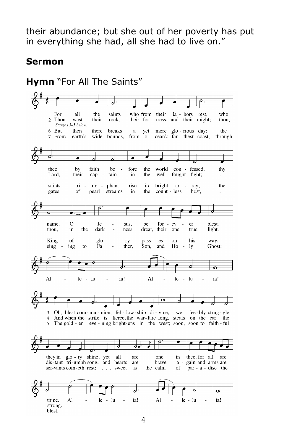their abundance; but she out of her poverty has put in everything she had, all she had to live on."

#### **Sermon**

**Hymn** "For All The Saints"1 For all who the saints who from their la - bors rest. Thou  $\sigma$ wast their rock. their for - tress, and their might; thou. Stanzas 3-5 below. 6 But then breaks yet more glo-rious day: the there  $\overline{a}$ from o - cean's far - thest coast, 7 From earth's wide bounds. through Η. thee by faith be fore the world con - fessed, thy  $\sim$ Lord, their cap tain in the well - fought fight;  $\ddot{\phantom{a}}$ tri - um - phant rise in the saints bright ar - ray; pearl streams  $count - less$ gates of in the host.  $\ddot{\phantom{a}}$  $\Omega$ name. Je sus. be  $for - ev$ er blest. dark light. thou. in the ness drear, their one true glo King of pass - es on his way. ry sing ing to Fа ther. Son, and Ho  $\overline{\phantom{a}}$ ly Ghost: Ò Ā Al  $le - lu$ ia! Al  $\overline{a}$  $le - lu$ ia! ø 3 Oh, blest com-mu-nion, fel-low-ship di-vine, we fee-bly strug-gle,  $\overline{4}$ And when the strife is fierce, the war-fare long, steals on the ear the 5 The gold - en eve - ning bright-ens in the west; soon, soon to faith - ful ठ d they in glo - ry shine; yet thee, for all all are one in are dis-tant tri-umph song, and hearts are brave a - gain and arms are the calm ser-vants com-eth rest; . . . sweet of  $par - a$  - dise the is d thine. ia! Al  $le - lu$  $\Box$ Al  $\overline{a}$  $le - lu$  $\overline{a}$ ia! strong. blest.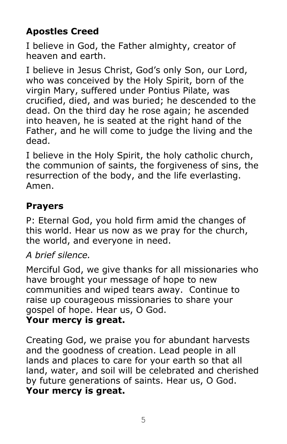# **Apostles Creed**

I believe in God, the Father almighty, creator of heaven and earth.

I believe in Jesus Christ, God's only Son, our Lord, who was conceived by the Holy Spirit, born of the virgin Mary, suffered under Pontius Pilate, was crucified, died, and was buried; he descended to the dead. On the third day he rose again; he ascended into heaven, he is seated at the right hand of the Father, and he will come to judge the living and the dead.

I believe in the Holy Spirit, the holy catholic church, the communion of saints, the forgiveness of sins, the resurrection of the body, and the life everlasting. Amen.

## **Prayers**

P: Eternal God, you hold firm amid the changes of this world. Hear us now as we pray for the church, the world, and everyone in need.

#### *A brief silence.*

Merciful God, we give thanks for all missionaries who have brought your message of hope to new communities and wiped tears away. Continue to raise up courageous missionaries to share your gospel of hope. Hear us, O God.

#### **Your mercy is great.**

Creating God, we praise you for abundant harvests and the goodness of creation. Lead people in all lands and places to care for your earth so that all land, water, and soil will be celebrated and cherished by future generations of saints. Hear us, O God. **Your mercy is great.**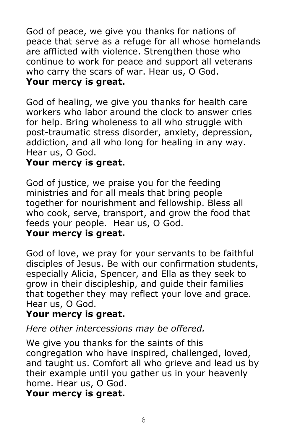God of peace, we give you thanks for nations of peace that serve as a refuge for all whose homelands are afflicted with violence. Strengthen those who continue to work for peace and support all veterans who carry the scars of war. Hear us, O God.

## **Your mercy is great.**

God of healing, we give you thanks for health care workers who labor around the clock to answer cries for help. Bring wholeness to all who struggle with post-traumatic stress disorder, anxiety, depression, addiction, and all who long for healing in any way. Hear us, O God.

#### **Your mercy is great.**

God of justice, we praise you for the feeding ministries and for all meals that bring people together for nourishment and fellowship. Bless all who cook, serve, transport, and grow the food that feeds your people. Hear us, O God. **Your mercy is great.**

God of love, we pray for your servants to be faithful disciples of Jesus. Be with our confirmation students, especially Alicia, Spencer, and Ella as they seek to grow in their discipleship, and guide their families that together they may reflect your love and grace. Hear us, O God.

## **Your mercy is great.**

# *Here other intercessions may be offered.*

We give you thanks for the saints of this congregation who have inspired, challenged, loved, and taught us. Comfort all who grieve and lead us by their example until you gather us in your heavenly home. Hear us, O God.

## **Your mercy is great.**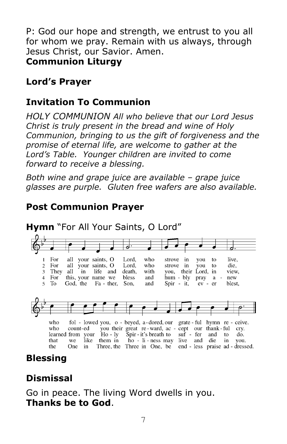P: God our hope and strength, we entrust to you all for whom we pray. Remain with us always, through Jesus Christ, our Savior. Amen. **Communion Liturgy**

### **Lord's Prayer**

## **Invitation To Communion**

*HOLY COMMUNION All who believe that our Lord Jesus Christ is truly present in the bread and wine of Holy Communion, bringing to us the gift of forgiveness and the promise of eternal life, are welcome to gather at the Lord's Table. Younger children are invited to come forward to receive a blessing.* 

*Both wine and grape juice are available – grape juice glasses are purple. Gluten free wafers are also available.* 

## **Post Communion Prayer**



# **Blessing**

# **Dismissal**

Go in peace. The living Word dwells in you. **Thanks be to God**.